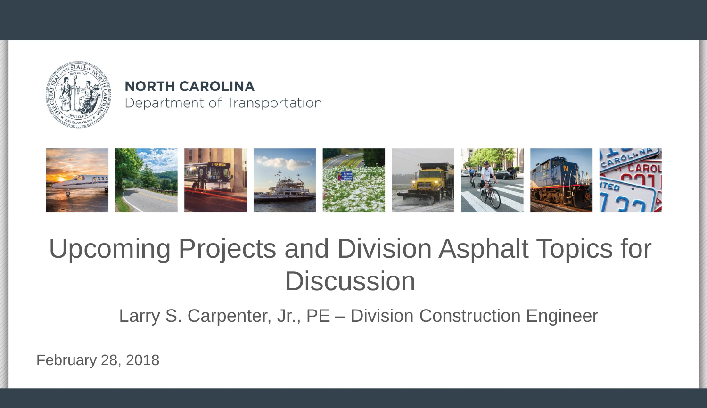

#### **NORTH CAROLINA** Department of Transportation



### Upcoming Projects and Division Asphalt Topics for **Discussion**

Larry S. Carpenter, Jr., PE – Division Construction Engineer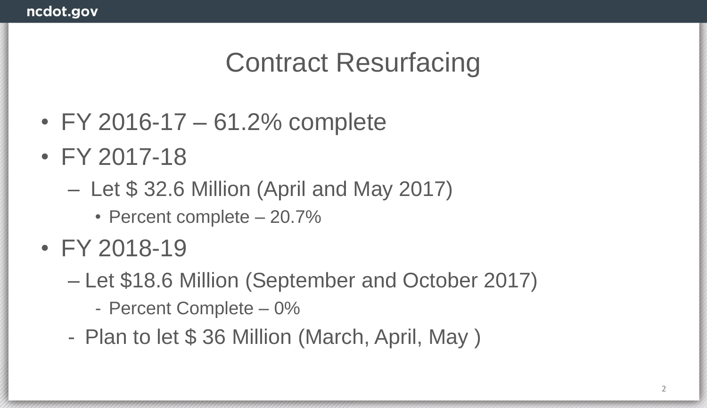### Contract Resurfacing

- FY 2016-17 61.2% complete
- FY 2017-18
	- Let \$ 32.6 Million (April and May 2017)
		- Percent complete 20.7%
- FY 2018-19
	- Let \$18.6 Million (September and October 2017)
		- Percent Complete 0%
	- Plan to let \$ 36 Million (March, April, May )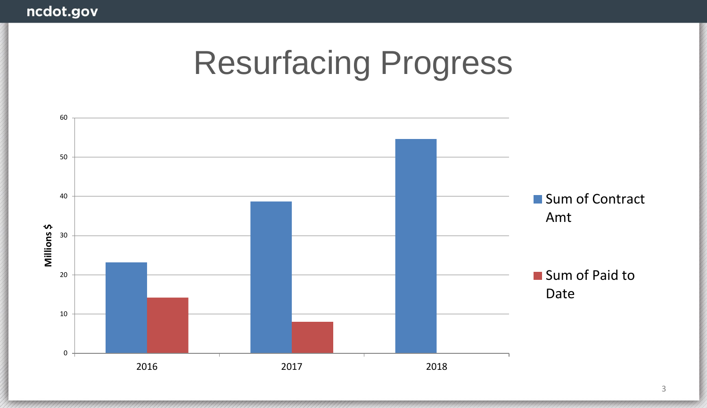## Resurfacing Progress

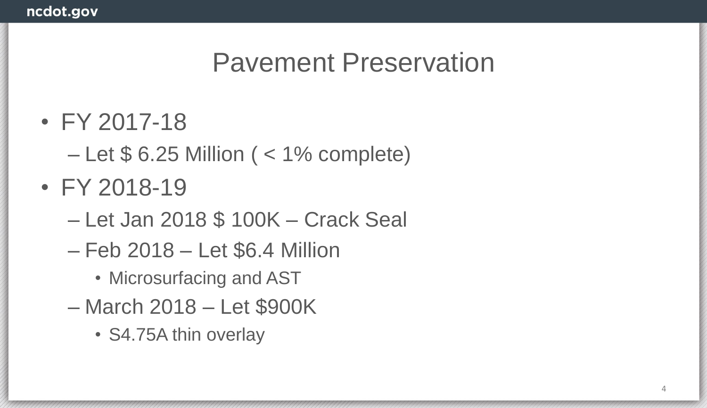### Pavement Preservation

- FY 2017-18
	- $-$  Let \$ 6.25 Million ( $<$  1% complete)
- FY 2018-19
	- Let Jan 2018 \$ 100K Crack Seal
	- Feb 2018 Let \$6.4 Million
		- Microsurfacing and AST
	- March 2018 Let \$900K
		- S4.75A thin overlay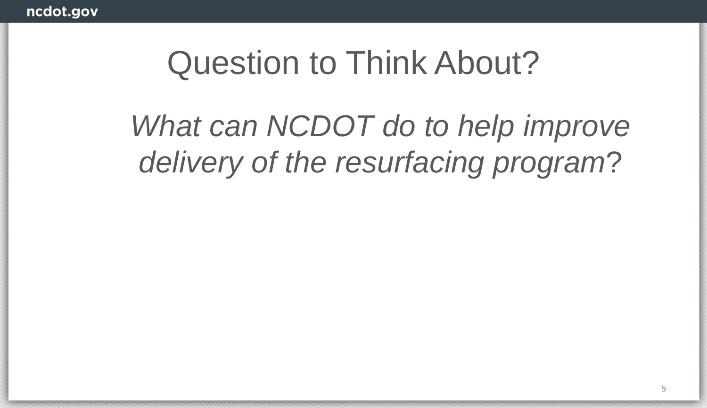## Question to Think About?

*What can NCDOT do to help improve delivery of the resurfacing program*?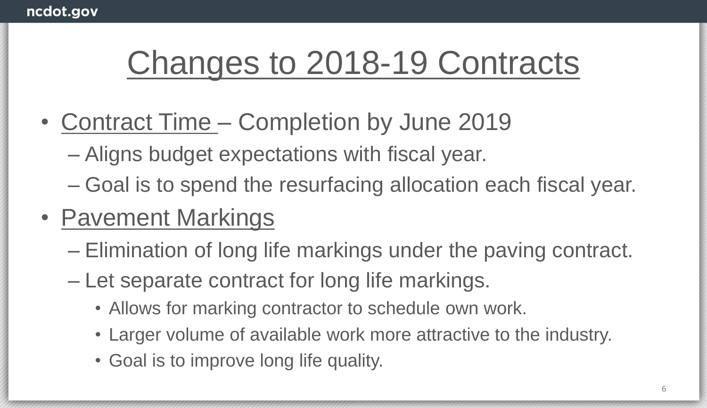## Changes to 2018-19 Contracts

- Contract Time Completion by June 2019
	- Aligns budget expectations with fiscal year.
	- Goal is to spend the resurfacing allocation each fiscal year.
- Pavement Markings
	- Elimination of long life markings under the paving contract.
	- Let separate contract for long life markings.
		- Allows for marking contractor to schedule own work.
		- Larger volume of available work more attractive to the industry.
		- Goal is to improve long life quality.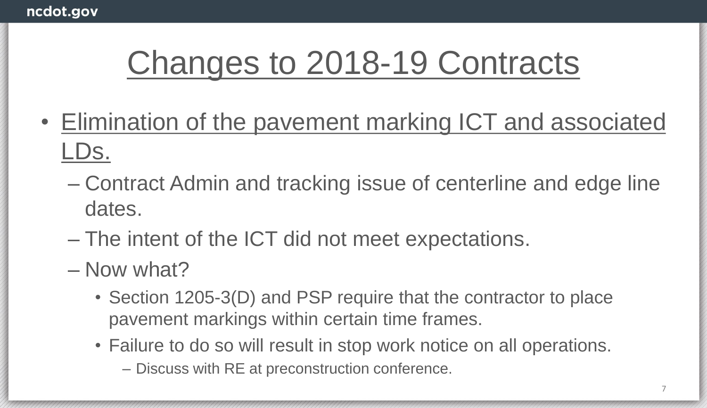## Changes to 2018-19 Contracts

- Elimination of the pavement marking ICT and associated LDs.
	- Contract Admin and tracking issue of centerline and edge line dates.
	- The intent of the ICT did not meet expectations.
	- Now what?
		- Section 1205-3(D) and PSP require that the contractor to place pavement markings within certain time frames.
		- Failure to do so will result in stop work notice on all operations.
			- Discuss with RE at preconstruction conference.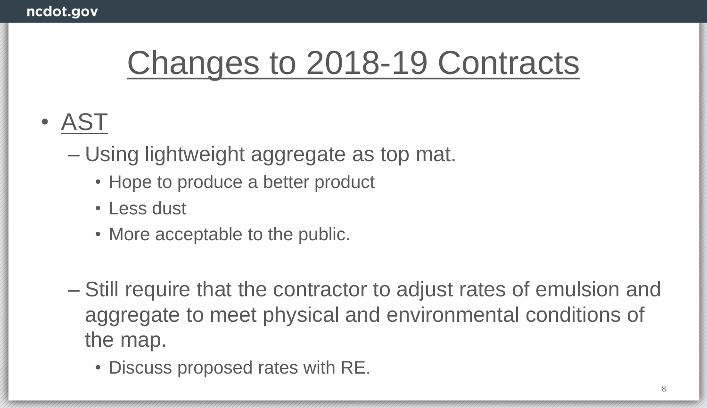## Changes to 2018-19 Contracts

- AST
	- Using lightweight aggregate as top mat.
		- Hope to produce a better product
		- Less dust
		- More acceptable to the public.
	- Still require that the contractor to adjust rates of emulsion and aggregate to meet physical and environmental conditions of the map.
		- Discuss proposed rates with RE.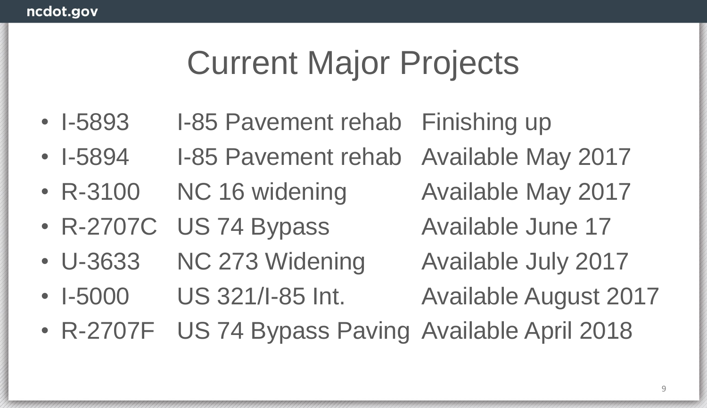## Current Major Projects

- I-5893 I-85 Pavement rehab Finishing up
- I-5894 I-85 Pavement rehab Available May 2017
- R-3100 NC 16 widening Available May 2017
- R-2707C US 74 Bypass Available June 17
- U-3633 NC 273 Widening Available July 2017

- 
- I-5000 US 321/I-85 Int. Available August 2017
	-
- R-2707F US 74 Bypass Paving Available April 2018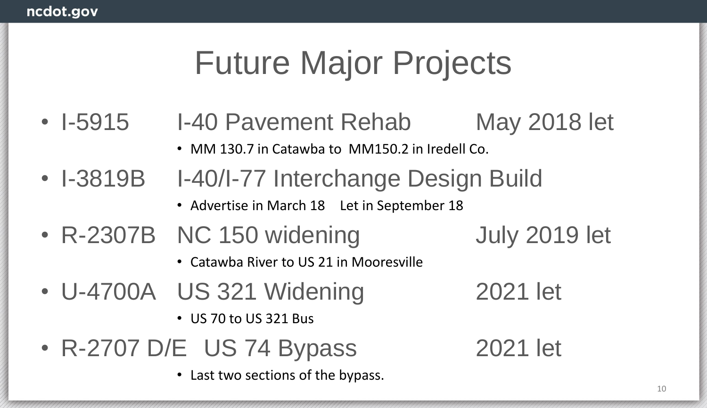## Future Major Projects

- I-5915 I-40 Pavement Rehab May 2018 let
	- MM 130.7 in Catawba to MM150.2 in Iredell Co.
- I-3819B I-40/I-77 Interchange Design Build
	- Advertise in March 18 Let in September 18
- R-2307B NC 150 widening July 2019 let
	-

- Catawba River to US 21 in Mooresville
- U-4700A US 321 Widening 2021 let
	- US 70 to US 321 Bus
- R-2707 D/E US 74 Bypass 2021 let
	- Last two sections of the bypass.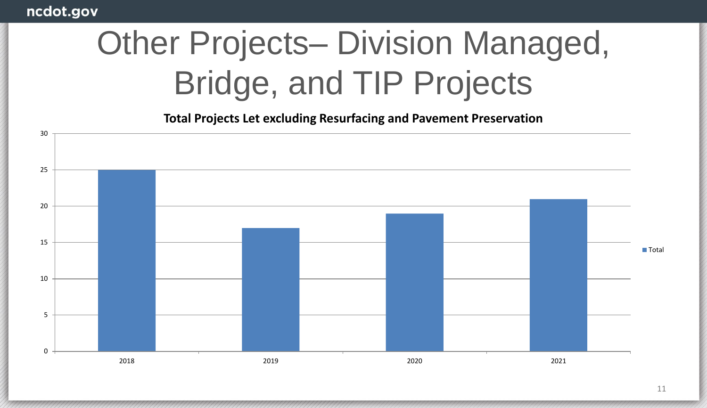# Other Projects– Division Managed, Bridge, and TIP Projects

**Total Projects Let excluding Resurfacing and Pavement Preservation**

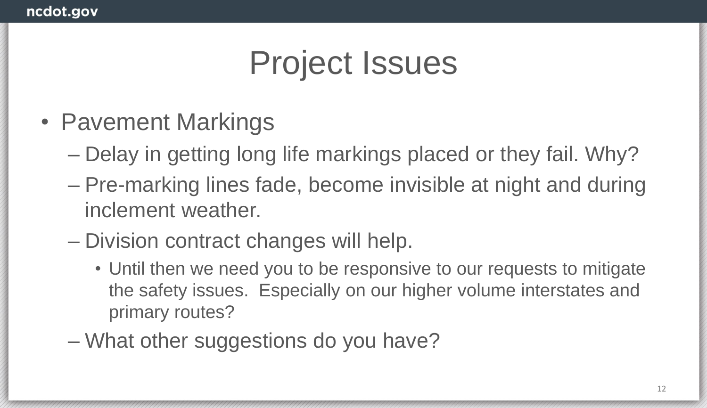- Pavement Markings
	- Delay in getting long life markings placed or they fail. Why?
	- Pre-marking lines fade, become invisible at night and during inclement weather.
	- Division contract changes will help.
		- Until then we need you to be responsive to our requests to mitigate the safety issues. Especially on our higher volume interstates and primary routes?
	- What other suggestions do you have?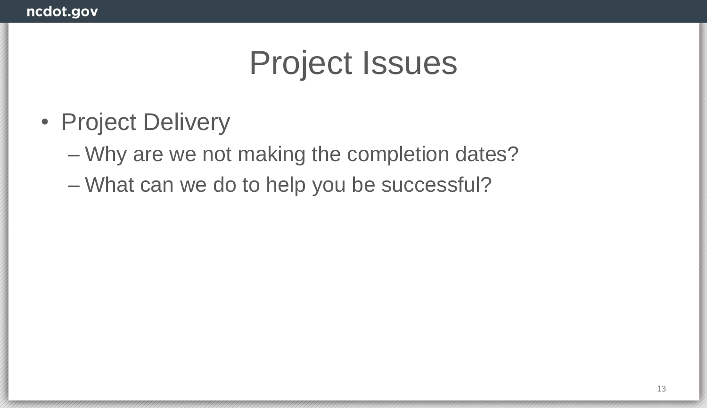- Project Delivery
	- Why are we not making the completion dates?
	- What can we do to help you be successful?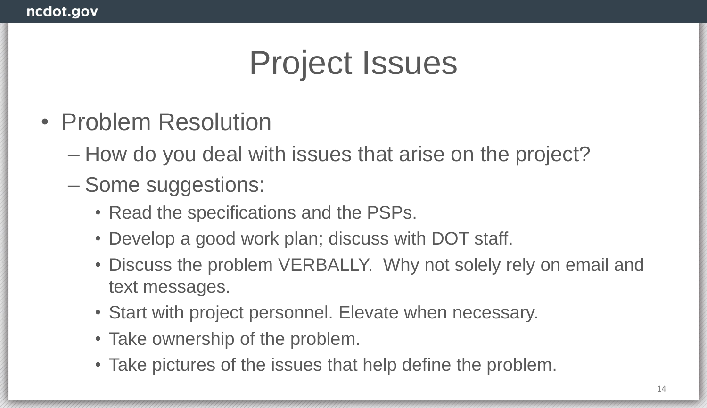- Problem Resolution
	- How do you deal with issues that arise on the project?
	- Some suggestions:
		- Read the specifications and the PSPs.
		- Develop a good work plan; discuss with DOT staff.
		- Discuss the problem VERBALLY. Why not solely rely on email and text messages.
		- Start with project personnel. Elevate when necessary.
		- Take ownership of the problem.
		- Take pictures of the issues that help define the problem.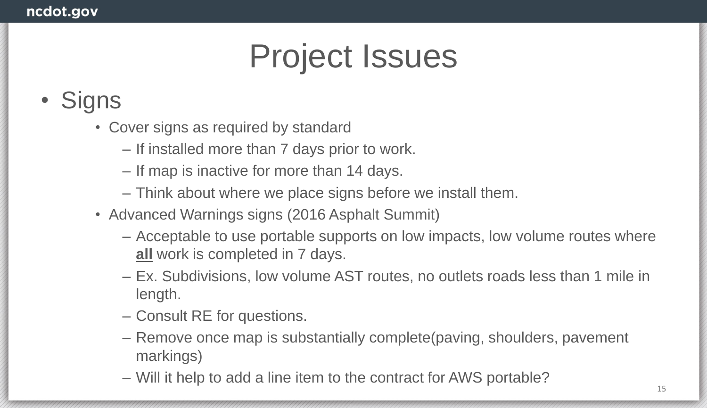#### • Signs

- Cover signs as required by standard
	- If installed more than 7 days prior to work.
	- If map is inactive for more than 14 days.
	- Think about where we place signs before we install them.
- Advanced Warnings signs (2016 Asphalt Summit)
	- Acceptable to use portable supports on low impacts, low volume routes where **all** work is completed in 7 days.
	- Ex. Subdivisions, low volume AST routes, no outlets roads less than 1 mile in length.
	- Consult RE for questions.
	- Remove once map is substantially complete(paving, shoulders, pavement markings)
	- Will it help to add a line item to the contract for AWS portable?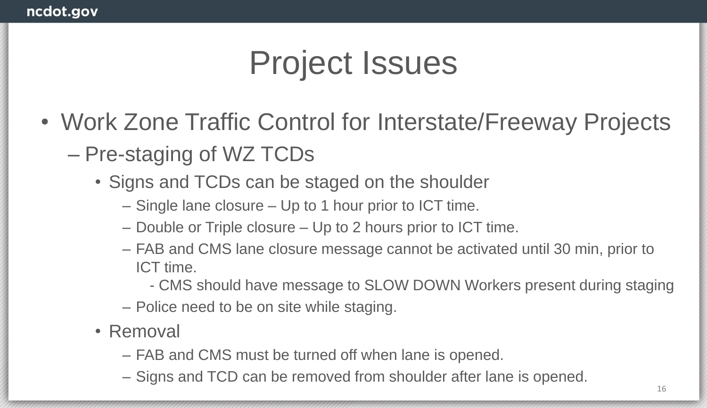- Work Zone Traffic Control for Interstate/Freeway Projects – Pre-staging of WZ TCDs
	- Signs and TCDs can be staged on the shoulder
		- Single lane closure Up to 1 hour prior to ICT time.
		- Double or Triple closure Up to 2 hours prior to ICT time.
		- FAB and CMS lane closure message cannot be activated until 30 min, prior to ICT time.
			- CMS should have message to SLOW DOWN Workers present during staging
		- Police need to be on site while staging.
	- Removal
		- FAB and CMS must be turned off when lane is opened.
		- Signs and TCD can be removed from shoulder after lane is opened.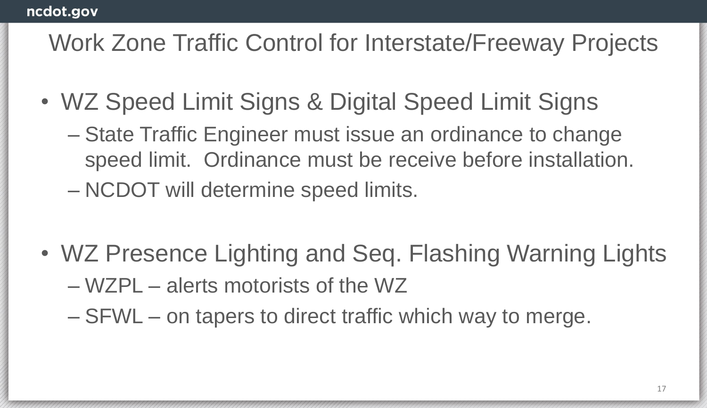#### Work Zone Traffic Control for Interstate/Freeway Projects

- WZ Speed Limit Signs & Digital Speed Limit Signs
	- State Traffic Engineer must issue an ordinance to change speed limit. Ordinance must be receive before installation. – NCDOT will determine speed limits.
- WZ Presence Lighting and Seq. Flashing Warning Lights – WZPL – alerts motorists of the WZ
	- SFWL on tapers to direct traffic which way to merge.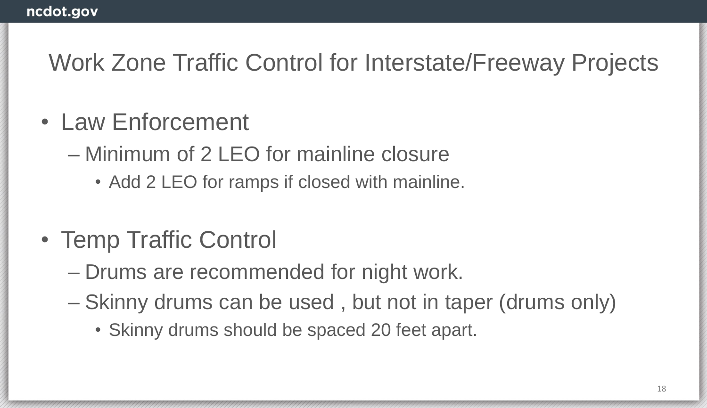#### Work Zone Traffic Control for Interstate/Freeway Projects

- Law Enforcement
	- Minimum of 2 LEO for mainline closure
		- Add 2 LEO for ramps if closed with mainline.
- Temp Traffic Control
	- Drums are recommended for night work.
	- Skinny drums can be used , but not in taper (drums only)
		- Skinny drums should be spaced 20 feet apart.